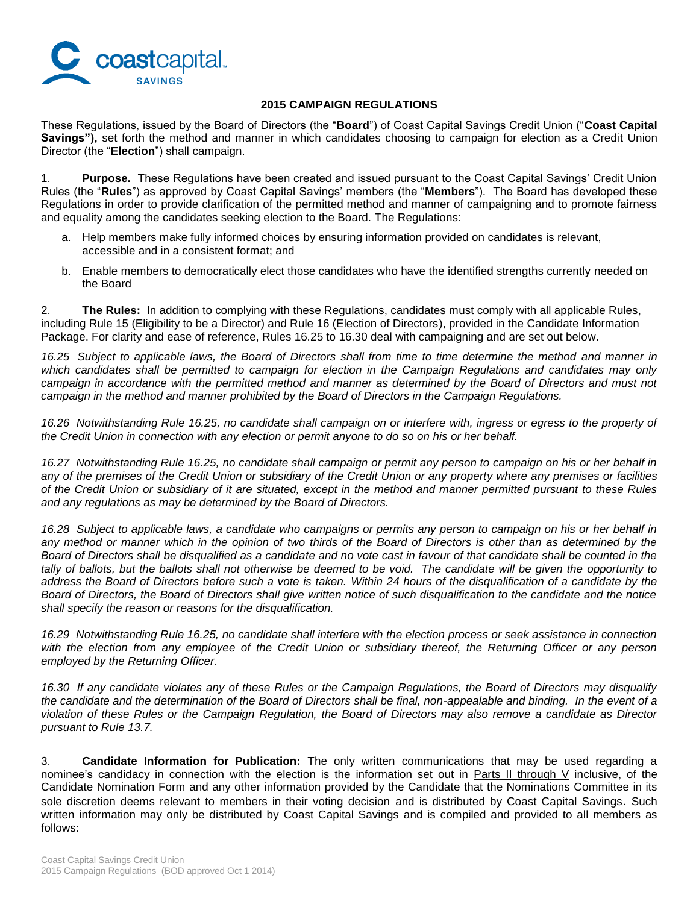

## **2015 CAMPAIGN REGULATIONS**

These Regulations, issued by the Board of Directors (the "**Board**") of Coast Capital Savings Credit Union ("**Coast Capital Savings"),** set forth the method and manner in which candidates choosing to campaign for election as a Credit Union Director (the "**Election**") shall campaign.

1. **Purpose.** These Regulations have been created and issued pursuant to the Coast Capital Savings' Credit Union Rules (the "**Rules**") as approved by Coast Capital Savings' members (the "**Members**"). The Board has developed these Regulations in order to provide clarification of the permitted method and manner of campaigning and to promote fairness and equality among the candidates seeking election to the Board. The Regulations:

- a. Help members make fully informed choices by ensuring information provided on candidates is relevant, accessible and in a consistent format; and
- b. Enable members to democratically elect those candidates who have the identified strengths currently needed on the Board

2. **The Rules:** In addition to complying with these Regulations, candidates must comply with all applicable Rules, including Rule 15 (Eligibility to be a Director) and Rule 16 (Election of Directors), provided in the Candidate Information Package. For clarity and ease of reference, Rules 16.25 to 16.30 deal with campaigning and are set out below.

*16.25 Subject to applicable laws, the Board of Directors shall from time to time determine the method and manner in*  which candidates shall be permitted to campaign for election in the Campaign Regulations and candidates may only campaign in accordance with the permitted method and manner as determined by the Board of Directors and must not *campaign in the method and manner prohibited by the Board of Directors in the Campaign Regulations.* 

*16.26 Notwithstanding Rule 16.25, no candidate shall campaign on or interfere with, ingress or egress to the property of the Credit Union in connection with any election or permit anyone to do so on his or her behalf.*

*16.27 Notwithstanding Rule 16.25, no candidate shall campaign or permit any person to campaign on his or her behalf in any of the premises of the Credit Union or subsidiary of the Credit Union or any property where any premises or facilities of the Credit Union or subsidiary of it are situated, except in the method and manner permitted pursuant to these Rules and any regulations as may be determined by the Board of Directors.*

*16.28 Subject to applicable laws, a candidate who campaigns or permits any person to campaign on his or her behalf in any method or manner which in the opinion of two thirds of the Board of Directors is other than as determined by the Board of Directors shall be disqualified as a candidate and no vote cast in favour of that candidate shall be counted in the tally of ballots, but the ballots shall not otherwise be deemed to be void. The candidate will be given the opportunity to address the Board of Directors before such a vote is taken. Within 24 hours of the disqualification of a candidate by the Board of Directors, the Board of Directors shall give written notice of such disqualification to the candidate and the notice shall specify the reason or reasons for the disqualification.*

*16.29 Notwithstanding Rule 16.25, no candidate shall interfere with the election process or seek assistance in connection*  with the election from any employee of the Credit Union or subsidiary thereof, the Returning Officer or any person *employed by the Returning Officer.*

*16.30 If any candidate violates any of these Rules or the Campaign Regulations, the Board of Directors may disqualify the candidate and the determination of the Board of Directors shall be final, non-appealable and binding. In the event of a violation of these Rules or the Campaign Regulation, the Board of Directors may also remove a candidate as Director pursuant to Rule 13.7.*

3. **Candidate Information for Publication:** The only written communications that may be used regarding a nominee's candidacy in connection with the election is the information set out in Parts II through V inclusive, of the Candidate Nomination Form and any other information provided by the Candidate that the Nominations Committee in its sole discretion deems relevant to members in their voting decision and is distributed by Coast Capital Savings. Such written information may only be distributed by Coast Capital Savings and is compiled and provided to all members as follows: